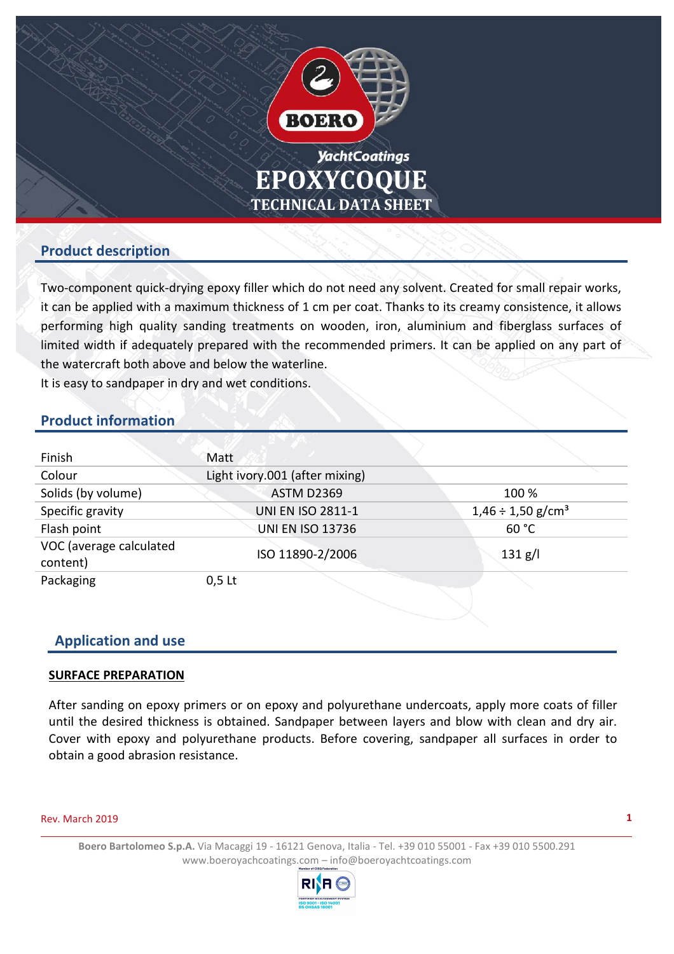

## **Product description**

Two-component quick-drying epoxy filler which do not need any solvent. Created for small repair works, it can be applied with a maximum thickness of 1 cm per coat. Thanks to its creamy consistence, it allows performing high quality sanding treatments on wooden, iron, aluminium and fiberglass surfaces of limited width if adequately prepared with the recommended primers. It can be applied on any part of the watercraft both above and below the waterline.

It is easy to sandpaper in dry and wet conditions.

## **Product information**

| Finish                              | Matt                           |                                    |
|-------------------------------------|--------------------------------|------------------------------------|
| Colour                              | Light ivory.001 (after mixing) |                                    |
| Solids (by volume)                  | <b>ASTM D2369</b>              | 100 %                              |
| Specific gravity                    | <b>UNI EN ISO 2811-1</b>       | $1,46 \div 1,50$ g/cm <sup>3</sup> |
| Flash point                         | <b>UNI EN ISO 13736</b>        | 60 °C                              |
| VOC (average calculated<br>content) | ISO 11890-2/2006               | 131 g/l                            |
| Packaging                           | $0,5$ Lt                       |                                    |

### **Application and use**

### **SURFACE PREPARATION**

After sanding on epoxy primers or on epoxy and polyurethane undercoats, apply more coats of filler until the desired thickness is obtained. Sandpaper between layers and blow with clean and dry air. Cover with epoxy and polyurethane products. Before covering, sandpaper all surfaces in order to obtain a good abrasion resistance.

#### Rev. March 2019

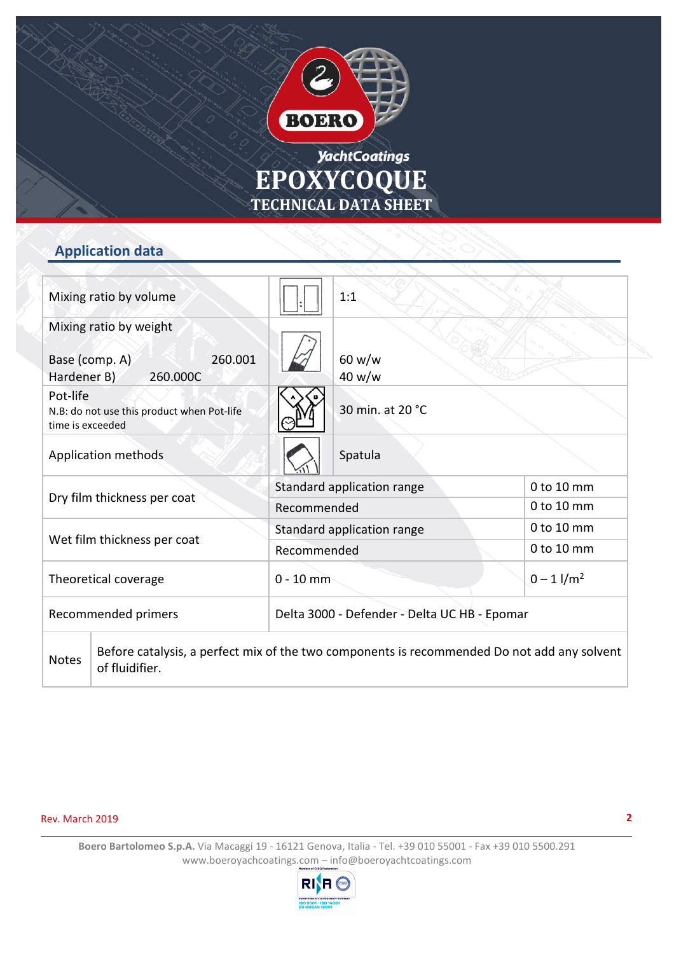

# **yachtCoatings EPOXYCOQUE TECHNICAL DATA SHEET**

# **Application data**

| Mixing ratio by volume                                                     |                     |                            | 1:1                                                                                         |                |
|----------------------------------------------------------------------------|---------------------|----------------------------|---------------------------------------------------------------------------------------------|----------------|
| Mixing ratio by weight<br>Base (comp. A)<br>Hardener B)                    | 260.001<br>260.000C |                            | 60 w/w<br>40 w/w                                                                            |                |
| Pot-life<br>N.B: do not use this product when Pot-life<br>time is exceeded |                     |                            | 30 min. at 20 °C                                                                            |                |
| Application methods                                                        |                     |                            | Spatula                                                                                     |                |
| Dry film thickness per coat                                                |                     | Standard application range |                                                                                             | 0 to 10 mm     |
|                                                                            |                     | Recommended                |                                                                                             | 0 to 10 mm     |
| Wet film thickness per coat                                                |                     |                            | Standard application range                                                                  | 0 to 10 mm     |
|                                                                            |                     | Recommended                |                                                                                             | 0 to 10 mm     |
| Theoretical coverage                                                       |                     | $0 - 10$ mm                |                                                                                             | $0 - 1$ $1/m2$ |
| Recommended primers                                                        |                     |                            | Delta 3000 - Defender - Delta UC HB - Epomar                                                |                |
| <b>Notes</b><br>of fluidifier.                                             |                     |                            | Before catalysis, a perfect mix of the two components is recommended Do not add any solvent |                |

Rev. March 2019

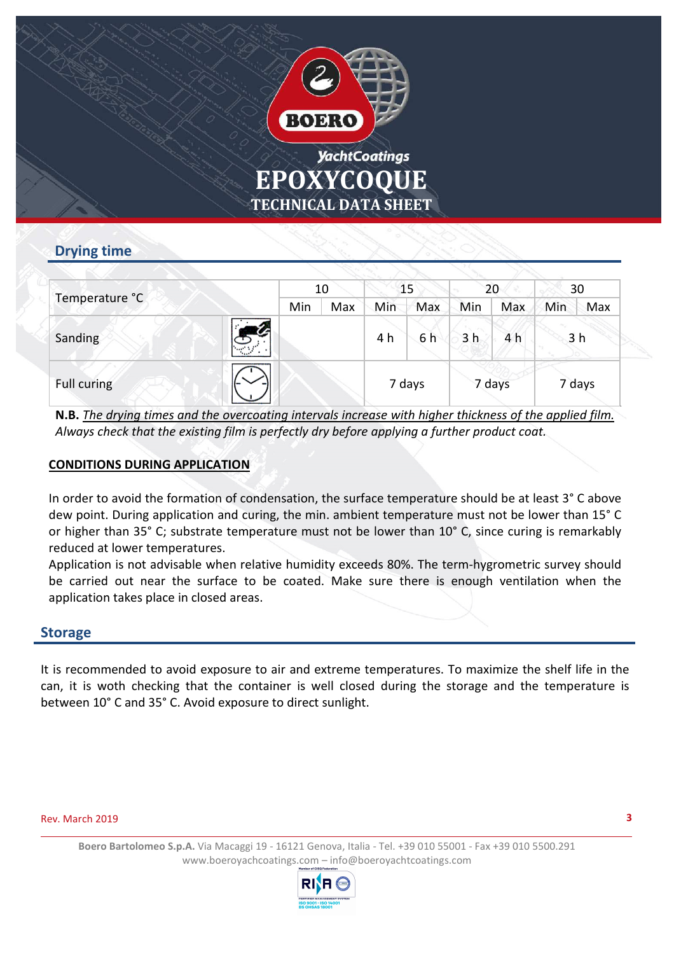

# **EPOXYCOQUE TECHNICAL DATA SHEET**

# **Drying time**

| Temperature °C |  | 10  |     | 15     |     | 20             |     | 30     |                |
|----------------|--|-----|-----|--------|-----|----------------|-----|--------|----------------|
|                |  | Min | Max | Min    | Max | Min            | Max | Min    | Max            |
| Sanding        |  |     |     | 4 h    | 6 h | 3 <sub>h</sub> | 4 h |        | 3 <sub>h</sub> |
| Full curing    |  |     |     | 7 days |     | 7 days         |     | 7 days |                |

**N.B.** *The drying times and the overcoating intervals increase with higher thickness of the applied film. Always check that the existing film is perfectly dry before applying a further product coat.*

### **CONDITIONS DURING APPLICATION**

In order to avoid the formation of condensation, the surface temperature should be at least 3° C above dew point. During application and curing, the min. ambient temperature must not be lower than 15° C or higher than 35° C; substrate temperature must not be lower than 10° C, since curing is remarkably reduced at lower temperatures.

Application is not advisable when relative humidity exceeds 80%. The term-hygrometric survey should be carried out near the surface to be coated. Make sure there is enough ventilation when the application takes place in closed areas.

### **Storage**

It is recommended to avoid exposure to air and extreme temperatures. To maximize the shelf life in the can, it is woth checking that the container is well closed during the storage and the temperature is between 10° C and 35° C. Avoid exposure to direct sunlight.